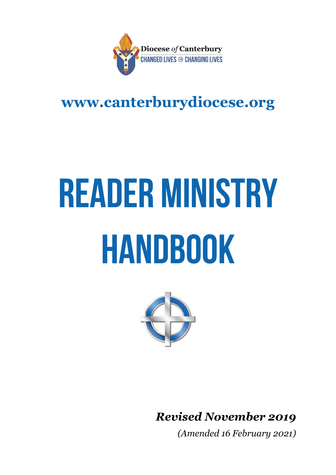

## **www.canterburydiocese.org**

# **READER MINISTRY** HANDBOOK



*Revised November 2019*

*(Amended 16 February 2021)*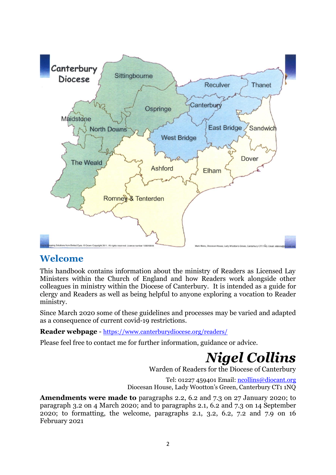

### **Welcome**

This handbook contains information about the ministry of Readers as Licensed Lay Ministers within the Church of England and how Readers work alongside other colleagues in ministry within the Diocese of Canterbury. It is intended as a guide for clergy and Readers as well as being helpful to anyone exploring a vocation to Reader ministry.

Since March 2020 some of these guidelines and processes may be varied and adapted as a consequence of current covid-19 restrictions.

**Reader webpage** - <https://www.canterburydiocese.org/readers/>

Please feel free to contact me for further information, guidance or advice.

*Nigel Collins*

Warden of Readers for the Diocese of Canterbury

Tel: 01227 459401 Email[: ncollins@diocant.org](mailto:ncollins@diocant.org) Diocesan House, Lady Wootton's Green, Canterbury CT1 1NQ

**Amendments were made to** paragraphs 2.2, 6.2 and 7.3 on 27 January 2020; to paragraph 3.2 on 4 March 2020; and to paragraphs 2.1, 6.2 and 7.3 on 14 September 2020; to formatting, the welcome, paragraphs 2.1, 3.2, 6.2, 7.2 and 7.9 on 16 February 2021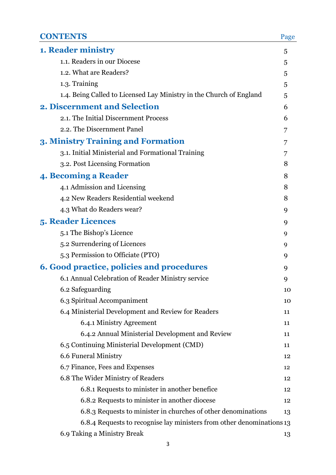| <b>CONTENTS</b>                                                       | Page |
|-----------------------------------------------------------------------|------|
| <b>1. Reader ministry</b>                                             | 5    |
| 1.1. Readers in our Diocese                                           | 5    |
| 1.2. What are Readers?                                                | 5    |
| 1.3. Training                                                         | 5    |
| 1.4. Being Called to Licensed Lay Ministry in the Church of England   | 5    |
| 2. Discernment and Selection                                          | 6    |
| 2.1. The Initial Discernment Process                                  | 6    |
| 2.2. The Discernment Panel                                            | 7    |
| 3. Ministry Training and Formation                                    | 7    |
| 3.1. Initial Ministerial and Formational Training                     | 7    |
| 3.2. Post Licensing Formation                                         | 8    |
| 4. Becoming a Reader                                                  | 8    |
| 4.1 Admission and Licensing                                           | 8    |
| 4.2 New Readers Residential weekend                                   | 8    |
| 4.3 What do Readers wear?                                             | 9    |
| <b>5. Reader Licences</b>                                             | 9    |
| 5.1 The Bishop's Licence                                              | 9    |
| 5.2 Surrendering of Licences                                          | 9    |
| 5.3 Permission to Officiate (PTO)                                     | 9    |
| <b>6. Good practice, policies and procedures</b>                      | 9    |
| 6.1 Annual Celebration of Reader Ministry service                     | 9    |
| 6.2 Safeguarding                                                      | 10   |
| 6.3 Spiritual Accompaniment                                           | 10   |
| 6.4 Ministerial Development and Review for Readers                    | 11   |
| 6.4.1 Ministry Agreement                                              | 11   |
| 6.4.2 Annual Ministerial Development and Review                       | 11   |
| 6.5 Continuing Ministerial Development (CMD)                          | 11   |
| 6.6 Funeral Ministry                                                  | 12   |
| 6.7 Finance, Fees and Expenses                                        | 12   |
| 6.8 The Wider Ministry of Readers                                     | 12   |
| 6.8.1 Requests to minister in another benefice                        | 12   |
| 6.8.2 Requests to minister in another diocese                         | 12   |
| 6.8.3 Requests to minister in churches of other denominations         | 13   |
| 6.8.4 Requests to recognise lay ministers from other denominations 13 |      |
| 6.9 Taking a Ministry Break                                           | 13   |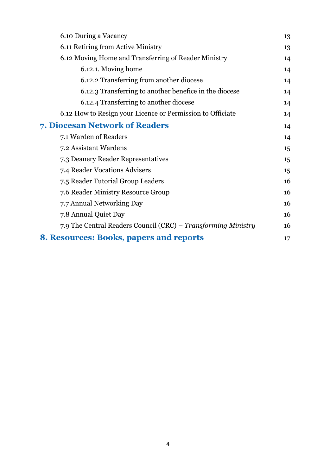| 6.10 During a Vacancy                                         | 13 |
|---------------------------------------------------------------|----|
| 6.11 Retiring from Active Ministry                            | 13 |
| 6.12 Moving Home and Transferring of Reader Ministry          | 14 |
| 6.12.1. Moving home                                           | 14 |
| 6.12.2 Transferring from another diocese                      | 14 |
| 6.12.3 Transferring to another benefice in the diocese        | 14 |
| 6.12.4 Transferring to another diocese                        | 14 |
| 6.12 How to Resign your Licence or Permission to Officiate    | 14 |
| 7. Diocesan Network of Readers                                | 14 |
| 7.1 Warden of Readers                                         | 14 |
| 7.2 Assistant Wardens                                         | 15 |
| 7.3 Deanery Reader Representatives                            | 15 |
| 7.4 Reader Vocations Advisers                                 | 15 |
| 7.5 Reader Tutorial Group Leaders                             | 16 |
| 7.6 Reader Ministry Resource Group                            | 16 |
| 7.7 Annual Networking Day                                     | 16 |
| 7.8 Annual Quiet Day                                          | 16 |
| 7.9 The Central Readers Council (CRC) – Transforming Ministry | 16 |
| <b>8. Resources: Books, papers and reports</b>                | 17 |
|                                                               |    |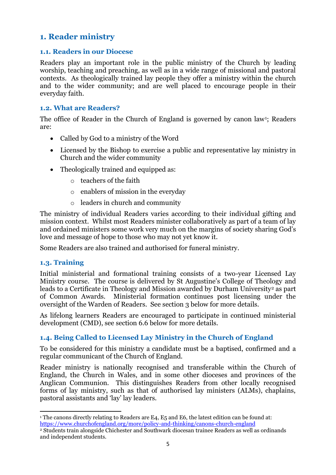#### **1. Reader ministry**

#### **1.1. Readers in our Diocese**

Readers play an important role in the public ministry of the Church by leading worship, teaching and preaching, as well as in a wide range of missional and pastoral contexts. As theologically trained lay people they offer a ministry within the church and to the wider community; and are well placed to encourage people in their everyday faith.

#### **1.2. What are Readers?**

The office of Reader in the Church of England is governed by canon law<sup>1</sup>; Readers are:

- Called by God to a ministry of the Word
- Licensed by the Bishop to exercise a public and representative lay ministry in Church and the wider community
- Theologically trained and equipped as:
	- o teachers of the faith
	- o enablers of mission in the everyday
	- o leaders in church and community

The ministry of individual Readers varies according to their individual gifting and mission context. Whilst most Readers minister collaboratively as part of a team of lay and ordained ministers some work very much on the margins of society sharing God's love and message of hope to those who may not yet know it.

Some Readers are also trained and authorised for funeral ministry.

#### **1.3. Training**

Initial ministerial and formational training consists of a two-year Licensed Lay Ministry course. The course is delivered by St Augustine's College of Theology and leads to a Certificate in Theology and Mission awarded by Durham University<sup>2</sup> as part of Common Awards. Ministerial formation continues post licensing under the oversight of the Warden of Readers. See section 3 below for more details.

As lifelong learners Readers are encouraged to participate in continued ministerial development (CMD), see section 6.6 below for more details.

#### **1.4. Being Called to Licensed Lay Ministry in the Church of England**

To be considered for this ministry a candidate must be a baptised, confirmed and a regular communicant of the Church of England.

Reader ministry is nationally recognised and transferable within the Church of England, the Church in Wales, and in some other dioceses and provinces of the Anglican Communion. This distinguishes Readers from other locally recognised forms of lay ministry, such as that of authorised lay ministers (ALMs), chaplains, pastoral assistants and 'lay' lay leaders.

<sup>1</sup> The canons directly relating to Readers are E4, E5 and E6, the latest edition can be found at: <https://www.churchofengland.org/more/policy-and-thinking/canons-church-england>

<sup>2</sup> Students train alongside Chichester and Southwark diocesan trainee Readers as well as ordinands and independent students.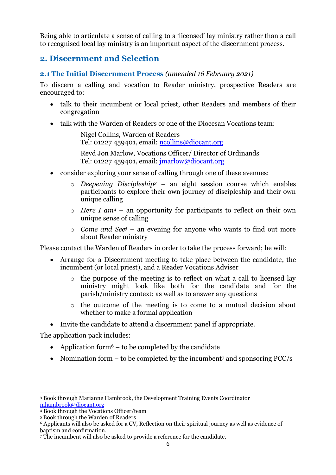Being able to articulate a sense of calling to a 'licensed' lay ministry rather than a call to recognised local lay ministry is an important aspect of the discernment process.

#### **2. Discernment and Selection**

#### **2.1 The Initial Discernment Process** *(amended 16 February 2021)*

To discern a calling and vocation to Reader ministry, prospective Readers are encouraged to:

- talk to their incumbent or local priest, other Readers and members of their congregation
- talk with the Warden of Readers or one of the Diocesan Vocations team:

Nigel Collins, Warden of Readers Tel: 01227 459401, email: [ncollins@diocant.org](mailto:ncollins@diocant.org) 

Revd Jon Marlow, Vocations Officer/ Director of Ordinands Tel: 01227 459401, email: jmarlow@diocant.org

- consider exploring your sense of calling through one of these avenues:
	- o *Deepening Discipleship<sup>3</sup>* an eight session course which enables participants to explore their own journey of discipleship and their own unique calling
	- o *Here I am<sup>4</sup>* an opportunity for participants to reflect on their own unique sense of calling
	- o *Come and See<sup>5</sup>* an evening for anyone who wants to find out more about Reader ministry

Please contact the Warden of Readers in order to take the process forward; he will:

- Arrange for a Discernment meeting to take place between the candidate, the incumbent (or local priest), and a Reader Vocations Adviser
	- o the purpose of the meeting is to reflect on what a call to licensed lay ministry might look like both for the candidate and for the parish/ministry context; as well as to answer any questions
	- o the outcome of the meeting is to come to a mutual decision about whether to make a formal application
- Invite the candidate to attend a discernment panel if appropriate.

The application pack includes:

- Application form<sup>6</sup> to be completed by the candidate
- Nomination form  $-$  to be completed by the incumbent<sup>7</sup> and sponsoring PCC/s

<sup>3</sup> Book through Marianne Hambrook, the Development Training Events Coordinator [mhambrook@diocant.org](mailto:mhambrook@diocant.org)

<sup>4</sup> Book through the Vocations Officer/team

<sup>5</sup> Book through the Warden of Readers

<sup>6</sup> Applicants will also be asked for a CV, Reflection on their spiritual journey as well as evidence of baptism and confirmation.

<sup>7</sup> The incumbent will also be asked to provide a reference for the candidate.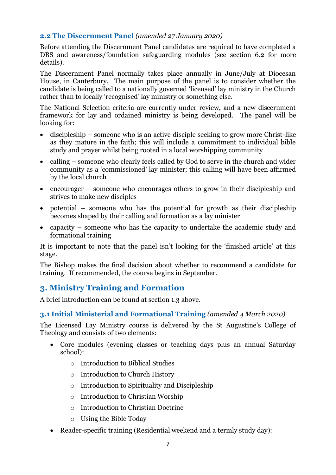#### **2.2 The Discernment Panel** *(amended 27 January 2020)*

Before attending the Discernment Panel candidates are required to have completed a DBS and awareness/foundation safeguarding modules (see section 6.2 for more details).

The Discernment Panel normally takes place annually in June/July at Diocesan House, in Canterbury. The main purpose of the panel is to consider whether the candidate is being called to a nationally governed 'licensed' lay ministry in the Church rather than to locally 'recognised' lay ministry or something else.

The National Selection criteria are currently under review, and a new discernment framework for lay and ordained ministry is being developed. The panel will be looking for:

- discipleship someone who is an active disciple seeking to grow more Christ-like as they mature in the faith; this will include a commitment to individual bible study and prayer whilst being rooted in a local worshipping community
- calling someone who clearly feels called by God to serve in the church and wider community as a 'commissioned' lay minister; this calling will have been affirmed by the local church
- encourager someone who encourages others to grow in their discipleship and strives to make new disciples
- potential someone who has the potential for growth as their discipleship becomes shaped by their calling and formation as a lay minister
- capacity someone who has the capacity to undertake the academic study and formational training

It is important to note that the panel isn't looking for the 'finished article' at this stage.

The Bishop makes the final decision about whether to recommend a candidate for training. If recommended, the course begins in September.

#### **3. Ministry Training and Formation**

A brief introduction can be found at section 1.3 above.

#### **3.1 Initial Ministerial and Formational Training** *(amended 4 March 2020)*

The Licensed Lay Ministry course is delivered by the St Augustine's College of Theology and consists of two elements:

- Core modules (evening classes or teaching days plus an annual Saturday school):
	- o Introduction to Biblical Studies
	- o Introduction to Church History
	- o Introduction to Spirituality and Discipleship
	- o Introduction to Christian Worship
	- o Introduction to Christian Doctrine
	- o Using the Bible Today
- Reader-specific training (Residential weekend and a termly study day):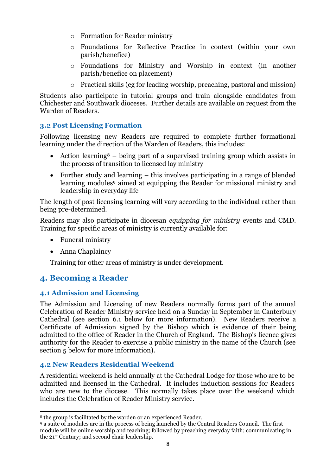- o Formation for Reader ministry
- o Foundations for Reflective Practice in context (within your own parish/benefice)
- o Foundations for Ministry and Worship in context (in another parish/benefice on placement)
- o Practical skills (eg for leading worship, preaching, pastoral and mission)

Students also participate in tutorial groups and train alongside candidates from Chichester and Southwark dioceses. Further details are available on request from the Warden of Readers.

#### **3.2 Post Licensing Formation**

Following licensing new Readers are required to complete further formational learning under the direction of the Warden of Readers, this includes:

- Action learning<sup>8</sup> being part of a supervised training group which assists in the process of transition to licensed lay ministry
- Further study and learning this involves participating in a range of blended learning modules<sup>9</sup> aimed at equipping the Reader for missional ministry and leadership in everyday life

The length of post licensing learning will vary according to the individual rather than being pre-determined.

Readers may also participate in diocesan *equipping for ministry* events and CMD. Training for specific areas of ministry is currently available for:

- Funeral ministry
- Anna Chaplaincy

Training for other areas of ministry is under development.

#### **4. Becoming a Reader**

#### **4.1 Admission and Licensing**

The Admission and Licensing of new Readers normally forms part of the annual Celebration of Reader Ministry service held on a Sunday in September in Canterbury Cathedral (see section 6.1 below for more information). New Readers receive a Certificate of Admission signed by the Bishop which is evidence of their being admitted to the office of Reader in the Church of England. The Bishop's licence gives authority for the Reader to exercise a public ministry in the name of the Church (see section 5 below for more information).

#### **4.2 New Readers Residential Weekend**

A residential weekend is held annually at the Cathedral Lodge for those who are to be admitted and licensed in the Cathedral. It includes induction sessions for Readers who are new to the diocese. This normally takes place over the weekend which includes the Celebration of Reader Ministry service.

<sup>8</sup> the group is facilitated by the warden or an experienced Reader.

<sup>9</sup> a suite of modules are in the process of being launched by the Central Readers Council. The first module will be online worship and teaching; followed by preaching everyday faith; communicating in the 21st Century; and second chair leadership.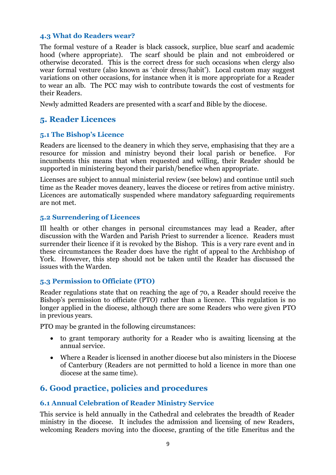#### **4.3 What do Readers wear?**

The formal vesture of a Reader is black cassock, surplice, blue scarf and academic hood (where appropriate). The scarf should be plain and not embroidered or otherwise decorated. This is the correct dress for such occasions when clergy also wear formal vesture (also known as 'choir dress/habit'). Local custom may suggest variations on other occasions, for instance when it is more appropriate for a Reader to wear an alb. The PCC may wish to contribute towards the cost of vestments for their Readers.

Newly admitted Readers are presented with a scarf and Bible by the diocese.

#### **5. Reader Licences**

#### **5.1 The Bishop's Licence**

Readers are licensed to the deanery in which they serve, emphasising that they are a resource for mission and ministry beyond their local parish or benefice. For incumbents this means that when requested and willing, their Reader should be supported in ministering beyond their parish/benefice when appropriate.

Licenses are subject to annual ministerial review (see below) and continue until such time as the Reader moves deanery, leaves the diocese or retires from active ministry. Licences are automatically suspended where mandatory safeguarding requirements are not met.

#### **5.2 Surrendering of Licences**

Ill health or other changes in personal circumstances may lead a Reader, after discussion with the Warden and Parish Priest to surrender a licence. Readers must surrender their licence if it is revoked by the Bishop. This is a very rare event and in these circumstances the Reader does have the right of appeal to the Archbishop of York. However, this step should not be taken until the Reader has discussed the issues with the Warden.

#### **5.3 Permission to Officiate (PTO)**

Reader regulations state that on reaching the age of 70, a Reader should receive the Bishop's permission to officiate (PTO) rather than a licence. This regulation is no longer applied in the diocese, although there are some Readers who were given PTO in previous years.

PTO may be granted in the following circumstances:

- to grant temporary authority for a Reader who is awaiting licensing at the annual service.
- Where a Reader is licensed in another diocese but also ministers in the Diocese of Canterbury (Readers are not permitted to hold a licence in more than one diocese at the same time).

#### **6. Good practice, policies and procedures**

#### **6.1 Annual Celebration of Reader Ministry Service**

This service is held annually in the Cathedral and celebrates the breadth of Reader ministry in the diocese. It includes the admission and licensing of new Readers, welcoming Readers moving into the diocese, granting of the title Emeritus and the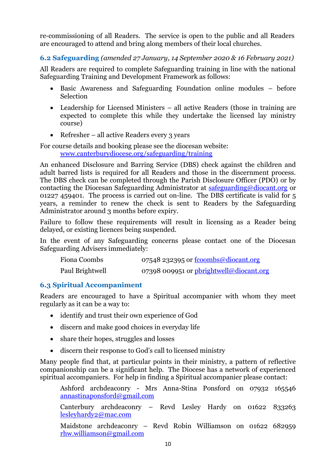re-commissioning of all Readers. The service is open to the public and all Readers are encouraged to attend and bring along members of their local churches.

**6.2 Safeguarding** *(amended 27 January, 14 September 2020 & 16 February 2021)*

All Readers are required to complete Safeguarding training in line with the national Safeguarding Training and Development Framework as follows:

- Basic Awareness and Safeguarding Foundation online modules before Selection
- Leadership for Licensed Ministers all active Readers (those in training are expected to complete this while they undertake the licensed lay ministry course)
- Refresher all active Readers every 3 years

For course details and booking please see the diocesan website: [www.canterburydiocese.org/safeguarding/training](http://www.canterburydiocese.org/safeguarding/training)

An enhanced Disclosure and Barring Service (DBS) check against the children and adult barred lists is required for all Readers and those in the discernment process. The DBS check can be completed through the Parish Disclosure Officer (PDO) or by contacting the Diocesan Safeguarding Administrator at [safeguarding@diocant.org](mailto:safeguarding@diocant.org) or 01227 459401. The process is carried out on-line. The DBS certificate is valid for 5 years, a reminder to renew the check is sent to Readers by the Safeguarding Administrator around 3 months before expiry.

Failure to follow these requirements will result in licensing as a Reader being delayed, or existing licences being suspended.

In the event of any Safeguarding concerns please contact one of the Diocesan Safeguarding Advisers immediately:

| Fiona Coombs    | 07548 232395 or <u>fcoombs@diocant.org</u> |
|-----------------|--------------------------------------------|
| Paul Brightwell | 07398 009951 or pbrightwell@diocant.org    |

#### **6.3 Spiritual Accompaniment**

Readers are encouraged to have a Spiritual accompanier with whom they meet regularly as it can be a way to:

- identify and trust their own experience of God
- discern and make good choices in everyday life
- share their hopes, struggles and losses
- discern their response to God's call to licensed ministry

Many people find that, at particular points in their ministry, a pattern of reflective companionship can be a significant help. The Diocese has a network of experienced spiritual accompaniers. For help in finding a Spiritual accompanier please contact:

Ashford archdeaconry - Mrs Anna-Stina Ponsford on 07932 165546 [annastinaponsford@gmail.com](mailto:annastinaponsford@gmail.com)

Canterbury archdeaconry – Revd Lesley Hardy on 01622 833263 [lesleyhardy2@mac.com](mailto:lesleyhardy2@mac.com)

Maidstone archdeaconry – Revd Robin Williamson on 01622 682959 [rhw.williamson@gmail.com](mailto:rhw.williamson@gmail.com)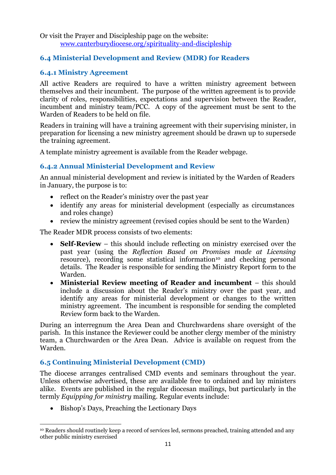Or visit the Prayer and Discipleship page on the website: [www.canterburydiocese.org/spirituality-and-discipleship](http://www.canterburydiocese.org/spirituality-and-discipleship)

#### **6.4 Ministerial Development and Review (MDR) for Readers**

#### **6.4.1 Ministry Agreement**

All active Readers are required to have a written ministry agreement between themselves and their incumbent. The purpose of the written agreement is to provide clarity of roles, responsibilities, expectations and supervision between the Reader, incumbent and ministry team/PCC. A copy of the agreement must be sent to the Warden of Readers to be held on file.

Readers in training will have a training agreement with their supervising minister, in preparation for licensing a new ministry agreement should be drawn up to supersede the training agreement.

A template ministry agreement is available from the Reader webpage.

#### **6.4.2 Annual Ministerial Development and Review**

An annual ministerial development and review is initiated by the Warden of Readers in January, the purpose is to:

- reflect on the Reader's ministry over the past year
- identify any areas for ministerial development (especially as circumstances and roles change)
- review the ministry agreement (revised copies should be sent to the Warden)

The Reader MDR process consists of two elements:

- **Self-Review** this should include reflecting on ministry exercised over the past year (using the *Reflection Based on Promises made at Licensing* resource), recording some statistical information<sup>10</sup> and checking personal details. The Reader is responsible for sending the Ministry Report form to the Warden.
- **Ministerial Review meeting of Reader and incumbent** this should include a discussion about the Reader's ministry over the past year, and identify any areas for ministerial development or changes to the written ministry agreement. The incumbent is responsible for sending the completed Review form back to the Warden.

During an interregnum the Area Dean and Churchwardens share oversight of the parish. In this instance the Reviewer could be another clergy member of the ministry team, a Churchwarden or the Area Dean. Advice is available on request from the Warden.

#### **6.5 Continuing Ministerial Development (CMD)**

The diocese arranges centralised CMD events and seminars throughout the year. Unless otherwise advertised, these are available free to ordained and lay ministers alike. Events are published in the regular diocesan mailings, but particularly in the termly *Equipping for ministry* mailing. Regular events include:

• Bishop's Days, Preaching the Lectionary Days

<sup>10</sup> Readers should routinely keep a record of services led, sermons preached, training attended and any other public ministry exercised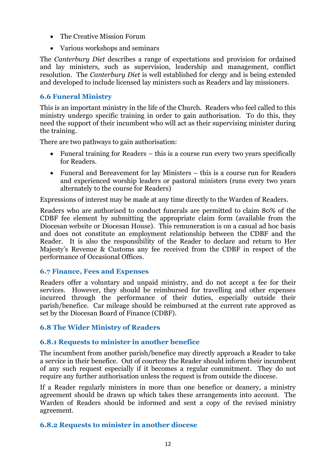- The Creative Mission Forum
- Various workshops and seminars

The *Canterbury Diet* describes a range of expectations and provision for ordained and lay ministers, such as supervision, leadership and management, conflict resolution. The *Canterbury Diet* is well established for clergy and is being extended and developed to include licensed lay ministers such as Readers and lay missioners.

#### **6.6 Funeral Ministry**

This is an important ministry in the life of the Church. Readers who feel called to this ministry undergo specific training in order to gain authorisation. To do this, they need the support of their incumbent who will act as their supervising minister during the training.

There are two pathways to gain authorisation:

- Funeral training for Readers this is a course run every two years specifically for Readers.
- Funeral and Bereavement for lay Ministers this is a course run for Readers and experienced worship leaders or pastoral ministers (runs every two years alternately to the course for Readers)

Expressions of interest may be made at any time directly to the Warden of Readers.

Readers who are authorised to conduct funerals are permitted to claim 80% of the CDBF fee element by submitting the appropriate claim form (available from the Diocesan website or Diocesan House). This remuneration is on a casual ad hoc basis and does not constitute an employment relationship between the CDBF and the Reader. It is also the responsibility of the Reader to declare and return to Her Majesty's Revenue & Customs any fee received from the CDBF in respect of the performance of Occasional Offices.

#### **6.7 Finance, Fees and Expenses**

Readers offer a voluntary and unpaid ministry, and do not accept a fee for their services. However, they should be reimbursed for travelling and other expenses incurred through the performance of their duties, especially outside their parish/benefice. Car mileage should be reimbursed at the current rate approved as set by the Diocesan Board of Finance (CDBF).

#### **6.8 The Wider Ministry of Readers**

#### **6.8.1 Requests to minister in another benefice**

The incumbent from another parish/benefice may directly approach a Reader to take a service in their benefice. Out of courtesy the Reader should inform their incumbent of any such request especially if it becomes a regular commitment. They do not require any further authorisation unless the request is from outside the diocese.

If a Reader regularly ministers in more than one benefice or deanery, a ministry agreement should be drawn up which takes these arrangements into account. The Warden of Readers should be informed and sent a copy of the revised ministry agreement.

#### **6.8.2 Requests to minister in another diocese**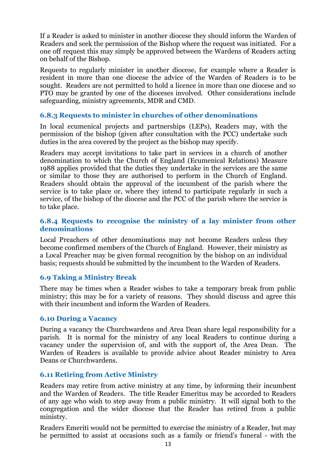If a Reader is asked to minister in another diocese they should inform the Warden of Readers and seek the permission of the Bishop where the request was initiated. For a one off request this may simply be approved between the Wardens of Readers acting on behalf of the Bishop.

Requests to regularly minister in another diocese, for example where a Reader is resident in more than one diocese the advice of the Warden of Readers is to be sought. Readers are not permitted to hold a licence in more than one diocese and so PTO may be granted by one of the dioceses involved. Other considerations include safeguarding, ministry agreements, MDR and CMD.

#### **6.8.3 Requests to minister in churches of other denominations**

In local ecumenical projects and partnerships (LEPs), Readers may, with the permission of the bishop (given after consultation with the PCC) undertake such duties in the area covered by the project as the bishop may specify.

Readers may accept invitations to take part in services in a church of another denomination to which the Church of England (Ecumenical Relations) Measure 1988 applies provided that the duties they undertake in the services are the same or similar to those they are authorised to perform in the Church of England. Readers should obtain the approval of the incumbent of the parish where the service is to take place or, where they intend to participate regularly in such a service, of the bishop of the diocese and the PCC of the parish where the service is to take place.

#### **6.8.4 Requests to recognise the ministry of a lay minister from other denominations**

Local Preachers of other denominations may not become Readers unless they become confirmed members of the Church of England. However, their ministry as a Local Preacher may be given formal recognition by the bishop on an individual basis; requests should be submitted by the incumbent to the Warden of Readers.

#### **6.9 Taking a Ministry Break**

There may be times when a Reader wishes to take a temporary break from public ministry; this may be for a variety of reasons. They should discuss and agree this with their incumbent and inform the Warden of Readers.

#### **6.10 During a Vacancy**

During a vacancy the Churchwardens and Area Dean share legal responsibility for a parish. It is normal for the ministry of any local Readers to continue during a vacancy under the supervision of, and with the support of, the Area Dean. The Warden of Readers is available to provide advice about Reader ministry to Area Deans or Churchwardens.

#### **6.11 Retiring from Active Ministry**

Readers may retire from active ministry at any time, by informing their incumbent and the Warden of Readers. The title Reader Emeritus may be accorded to Readers of any age who wish to step away from a public ministry. It will signal both to the congregation and the wider diocese that the Reader has retired from a public ministry.

Readers Emeriti would not be permitted to exercise the ministry of a Reader, but may be permitted to assist at occasions such as a family or friend's funeral - with the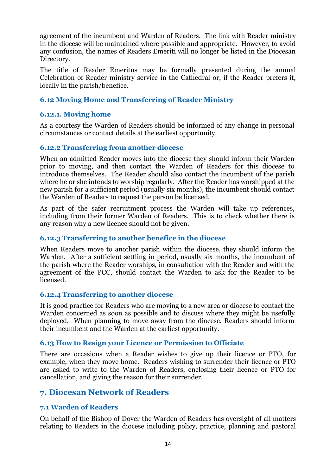agreement of the incumbent and Warden of Readers. The link with Reader ministry in the diocese will be maintained where possible and appropriate. However, to avoid any confusion, the names of Readers Emeriti will no longer be listed in the Diocesan Directory.

The title of Reader Emeritus may be formally presented during the annual Celebration of Reader ministry service in the Cathedral or, if the Reader prefers it, locally in the parish/benefice.

#### **6.12 Moving Home and Transferring of Reader Ministry**

#### **6.12.1. Moving home**

As a courtesy the Warden of Readers should be informed of any change in personal circumstances or contact details at the earliest opportunity.

#### **6.12.2 Transferring from another diocese**

When an admitted Reader moves into the diocese they should inform their Warden prior to moving, and then contact the Warden of Readers for this diocese to introduce themselves. The Reader should also contact the incumbent of the parish where he or she intends to worship regularly. After the Reader has worshipped at the new parish for a sufficient period (usually six months), the incumbent should contact the Warden of Readers to request the person be licensed.

As part of the safer recruitment process the Warden will take up references, including from their former Warden of Readers. This is to check whether there is any reason why a new licence should not be given.

#### **6.12.3 Transferring to another benefice in the diocese**

When Readers move to another parish within the diocese, they should inform the Warden. After a sufficient settling in period, usually six months, the incumbent of the parish where the Reader worships, in consultation with the Reader and with the agreement of the PCC, should contact the Warden to ask for the Reader to be licensed.

#### **6.12.4 Transferring to another diocese**

It is good practice for Readers who are moving to a new area or diocese to contact the Warden concerned as soon as possible and to discuss where they might be usefully deployed. When planning to move away from the diocese, Readers should inform their incumbent and the Warden at the earliest opportunity.

#### **6.13 How to Resign your Licence or Permission to Officiate**

There are occasions when a Reader wishes to give up their licence or PTO, for example, when they move home. Readers wishing to surrender their licence or PTO are asked to write to the Warden of Readers, enclosing their licence or PTO for cancellation, and giving the reason for their surrender.

#### **7. Diocesan Network of Readers**

#### **7.1 Warden of Readers**

On behalf of the Bishop of Dover the Warden of Readers has oversight of all matters relating to Readers in the diocese including policy, practice, planning and pastoral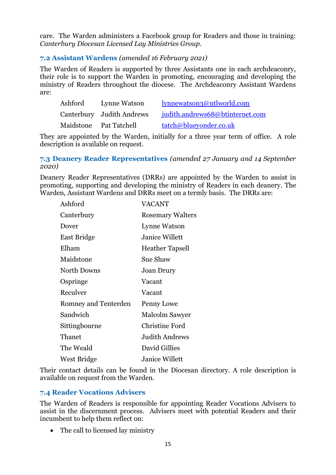care. The Warden administers a Facebook group for Readers and those in training: *Canterbury Diocesan Licensed Lay Ministries Group*.

#### **7.2 Assistant Wardens** *(amended 16 February 2021)*

The Warden of Readers is supported by three Assistants one in each archdeaconry, their role is to support the Warden in promoting, encouraging and developing the ministry of Readers throughout the diocese. The Archdeaconry Assistant Wardens are:

| Ashford | Lynne Watson              | lynnewatson3@ntlworld.com       |
|---------|---------------------------|---------------------------------|
|         | Canterbury Judith Andrews | judith.andrews68@btinternet.com |
|         | Maidstone Pat Tatchell    | tatch@blueyonder.co.uk          |

They are appointed by the Warden, initially for a three year term of office. A role description is available on request.

#### **7.3 Deanery Reader Representatives** *(amended 27 January and 14 September 2020)*

Deanery Reader Representatives (DRRs) are appointed by the Warden to assist in promoting, supporting and developing the ministry of Readers in each deanery. The Warden, Assistant Wardens and DRRs meet on a termly basis. The DRRs are:

| Ashford              | VACANT                  |
|----------------------|-------------------------|
| Canterbury           | <b>Rosemary Walters</b> |
| Dover                | <b>Lynne Watson</b>     |
| East Bridge          | <b>Janice Willett</b>   |
| Elham                | <b>Heather Tapsell</b>  |
| Maidstone            | Sue Shaw                |
| <b>North Downs</b>   | <b>Joan Drury</b>       |
| Ospringe             | Vacant                  |
| Reculver             | Vacant                  |
| Romney and Tenterden | Penny Lowe              |
| Sandwich             | Malcolm Sawyer          |
| Sittingbourne        | <b>Christine Ford</b>   |
| Thanet               | Judith Andrews          |
| The Weald            | David Gillies           |
| West Bridge          | Janice Willett          |

Their contact details can be found in the Diocesan directory. A role description is available on request from the Warden.

#### **7.4 Reader Vocations Advisers**

The Warden of Readers is responsible for appointing Reader Vocations Advisers to assist in the discernment process. Advisers meet with potential Readers and their incumbent to help them reflect on:

• The call to licensed lay ministry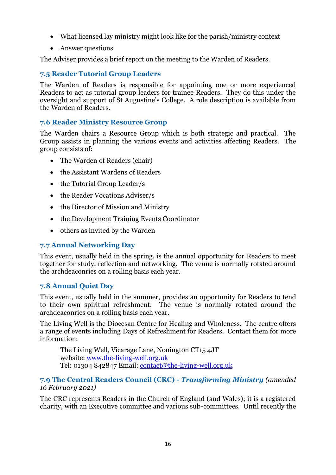- What licensed lay ministry might look like for the parish/ministry context
- Answer questions

The Adviser provides a brief report on the meeting to the Warden of Readers.

#### **7.5 Reader Tutorial Group Leaders**

The Warden of Readers is responsible for appointing one or more experienced Readers to act as tutorial group leaders for trainee Readers. They do this under the oversight and support of St Augustine's College. A role description is available from the Warden of Readers.

#### **7.6 Reader Ministry Resource Group**

The Warden chairs a Resource Group which is both strategic and practical. The Group assists in planning the various events and activities affecting Readers. The group consists of:

- The Warden of Readers (chair)
- the Assistant Wardens of Readers
- the Tutorial Group Leader/s
- the Reader Vocations Adviser/s
- the Director of Mission and Ministry
- the Development Training Events Coordinator
- others as invited by the Warden

#### **7.7 Annual Networking Day**

This event, usually held in the spring, is the annual opportunity for Readers to meet together for study, reflection and networking. The venue is normally rotated around the archdeaconries on a rolling basis each year.

#### **7.8 Annual Quiet Day**

This event, usually held in the summer, provides an opportunity for Readers to tend to their own spiritual refreshment. The venue is normally rotated around the archdeaconries on a rolling basis each year.

The Living Well is the Diocesan Centre for Healing and Wholeness. The centre offers a range of events including Days of Refreshment for Readers. Contact them for more information:

The Living Well, Vicarage Lane, Nonington CT15 4JT website: [www.the-living-well.org.uk](http://www.the-living-well.org.uk/) Tel: 01304 842847 Email: [contact@the-living-well.org.uk](mailto:contact@the-living-well.org.uk)

#### **7.9 The Central Readers Council (CRC) -** *Transforming Ministry (amended 16 February 2021)*

The CRC represents Readers in the Church of England (and Wales); it is a registered charity, with an Executive committee and various sub-committees. Until recently the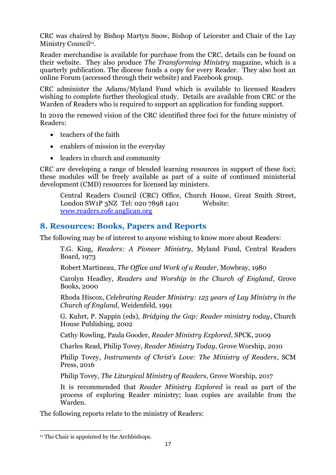CRC was chaired by Bishop Martyn Snow, Bishop of Leicester and Chair of the Lay Ministry Council<sup>11</sup>.

Reader merchandise is available for purchase from the CRC, details can be found on their website. They also produce *The Transforming Ministry* magazine, which is a quarterly publication. The diocese funds a copy for every Reader. They also host an online Forum (accessed through their website) and Facebook group.

CRC administer the Adams/Myland Fund which is available to licensed Readers wishing to complete further theological study. Details are available from CRC or the Warden of Readers who is required to support an application for funding support.

In 2019 the renewed vision of the CRC identified three foci for the future ministry of Readers:

- teachers of the faith
- enablers of mission in the everyday
- leaders in church and community

CRC are developing a range of blended learning resources in support of these foci; these modules will be freely available as part of a suite of continued ministerial development (CMD) resources for licensed lay ministers.

Central Readers Council (CRC) Office, Church House, Great Smith Street, London SW1P 3NZ Tel: 020 7898 1401 Website: [www.readers.cofe.anglican.org](http://www.readers.cofe.anglican.org/)

#### **8. Resources: Books, Papers and Reports**

The following may be of interest to anyone wishing to know more about Readers:

T.G. King, *Readers: A Pioneer Ministry*, Myland Fund, Central Readers Board, 1973

Robert Martineau, *The Office and Work of a Reader*, Mowbray, 1980

Carolyn Headley, *Readers and Worship in the Church of England*, Grove Books, 2000

Rhoda Hiscox, *Celebrating Reader Ministry: 125 years of Lay Ministry in the Church of England*, Weidenfeld, 1991

G. Kuhrt, P. Nappin (eds), *Bridging the Gap: Reader ministry today*, Church House Publishing, 2002

Cathy Rowling, Paula Gooder, *Reader Ministry Explored*, SPCK, 2009

Charles Read, Philip Tovey, *Reader Ministry Today*, Grove Worship, 2010

Philip Tovey, *Instruments of Christ's Love: The Ministry of Readers*, SCM Press, 2016

Philip Tovey, *The Liturgical Ministry of Readers*, Grove Worship, 2017

It is recommended that *Reader Ministry Explored* is read as part of the process of exploring Reader ministry; loan copies are available from the Warden.

The following reports relate to the ministry of Readers:

<sup>&</sup>lt;sup>11</sup> The Chair is appointed by the Archbishops.